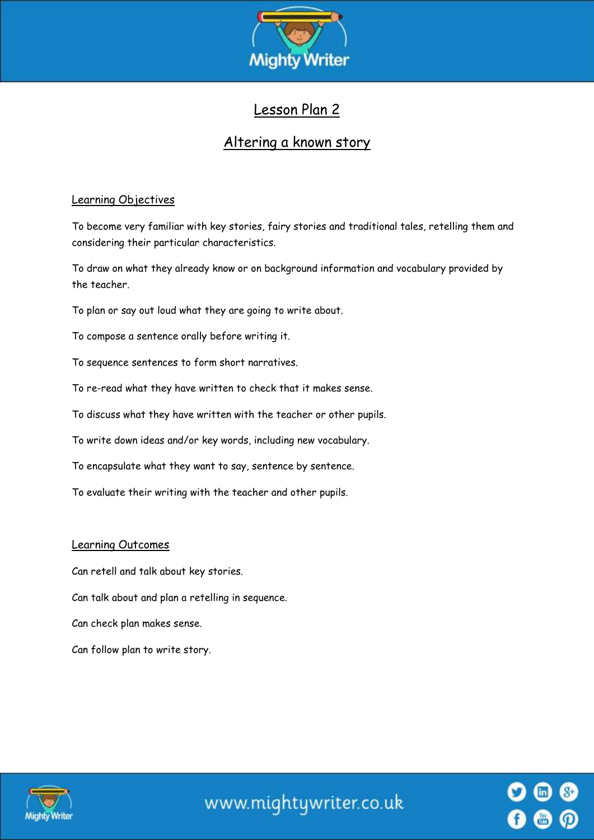

# Lesson Plan 2

## Altering a known story

## Learning Objectives

To become very familiar with key stories, fairy stories and traditional tales, retelling them and considering their particular characteristics.

To draw on what they already know or on background information and vocabulary provided by the teacher.

To plan or say out loud what they are going to write about.

To compose a sentence orally before writing it.

To sequence sentences to form short narratives.

To re-read what they have written to check that it makes sense.

To discuss what they have written with the teacher or other pupils.

To write down ideas and/or key words, including new vocabulary.

To encapsulate what they want to say, sentence by sentence.

To evaluate their writing with the teacher and other pupils.

#### Learning Outcomes

Can retell and talk about key stories.

Can talk about and plan a retelling in sequence.

Can check plan makes sense.

Can follow plan to write story.



www.mightywriter.co.uk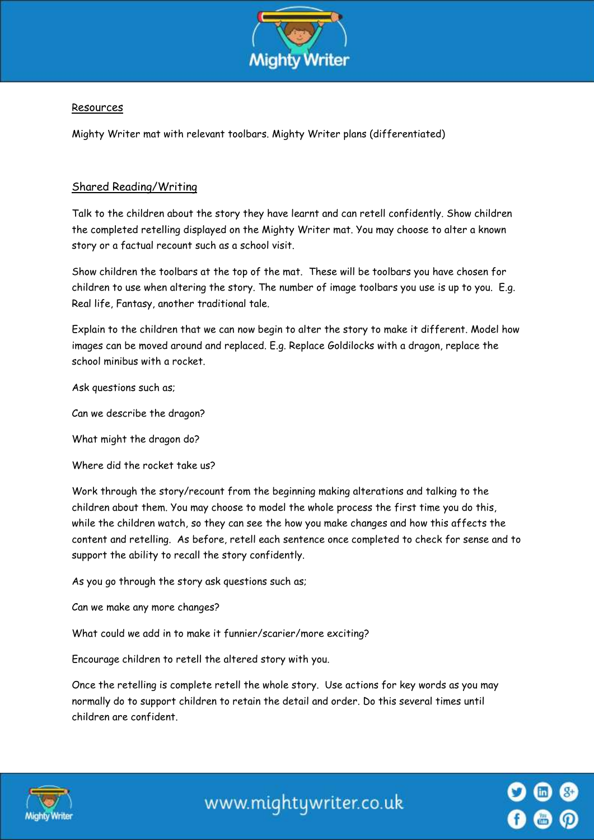

#### Resources

Mighty Writer mat with relevant toolbars. Mighty Writer plans (differentiated)

## Shared Reading/Writing

Talk to the children about the story they have learnt and can retell confidently. Show children the completed retelling displayed on the Mighty Writer mat. You may choose to alter a known story or a factual recount such as a school visit.

Show children the toolbars at the top of the mat. These will be toolbars you have chosen for children to use when altering the story. The number of image toolbars you use is up to you. E.g. Real life, Fantasy, another traditional tale.

Explain to the children that we can now begin to alter the story to make it different. Model how images can be moved around and replaced. E.g. Replace Goldilocks with a dragon, replace the school minibus with a rocket.

Ask questions such as;

Can we describe the dragon?

What might the dragon do?

Where did the rocket take us?

Work through the story/recount from the beginning making alterations and talking to the children about them. You may choose to model the whole process the first time you do this, while the children watch, so they can see the how you make changes and how this affects the content and retelling. As before, retell each sentence once completed to check for sense and to support the ability to recall the story confidently.

As you go through the story ask questions such as;

Can we make any more changes?

What could we add in to make it funnier/scarier/more exciting?

Encourage children to retell the altered story with you.

Once the retelling is complete retell the whole story. Use actions for key words as you may normally do to support children to retain the detail and order. Do this several times until children are confident.



www.mightywriter.co.uk